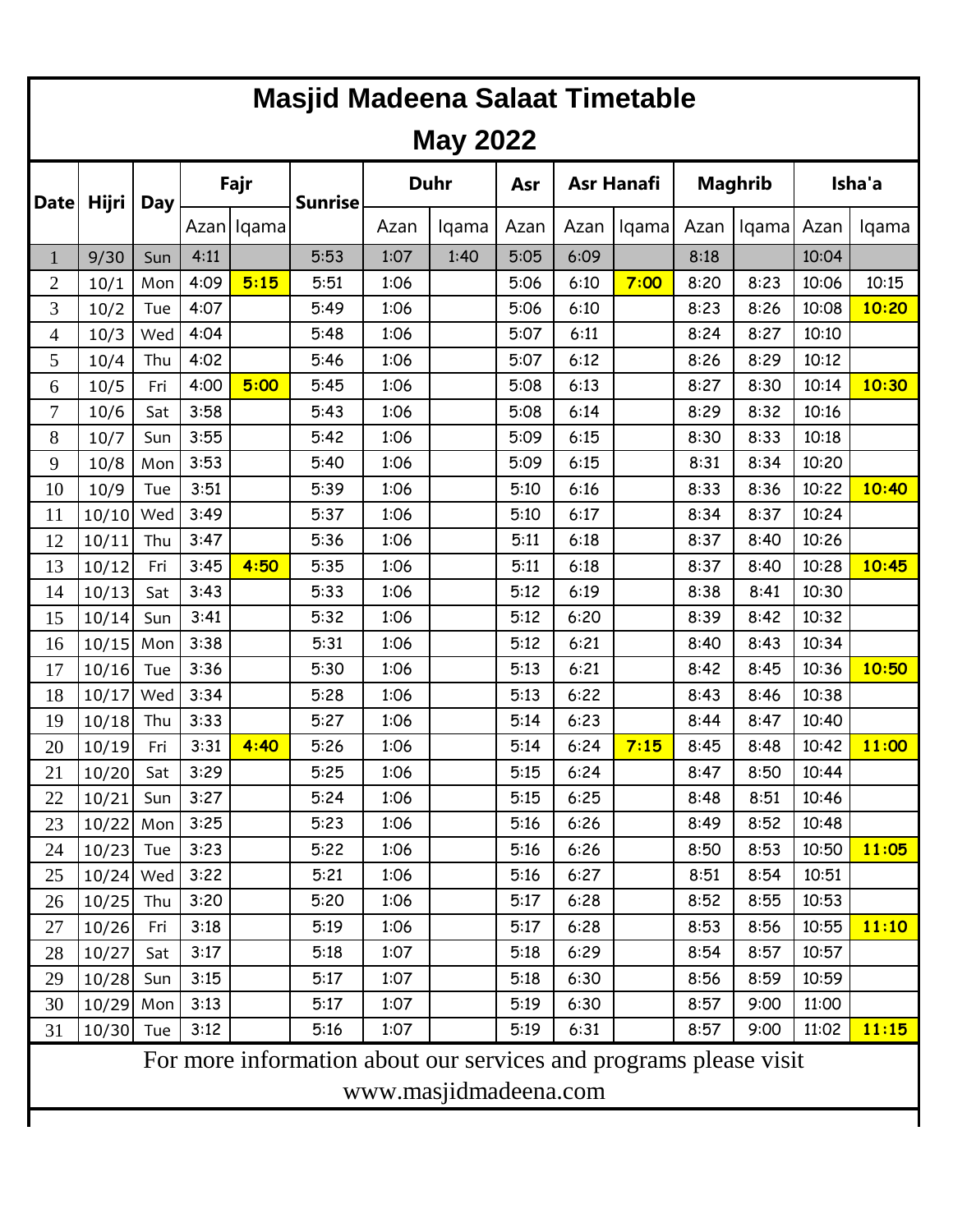| <b>Masjid Madeena Salaat Timetable</b>                            |                       |     |      |              |                |             |       |      |                   |       |                |       |        |       |
|-------------------------------------------------------------------|-----------------------|-----|------|--------------|----------------|-------------|-------|------|-------------------|-------|----------------|-------|--------|-------|
| <b>May 2022</b>                                                   |                       |     |      |              |                |             |       |      |                   |       |                |       |        |       |
| <b>Date</b>                                                       | Hijri                 | Day | Fajr |              | <b>Sunrise</b> | <b>Duhr</b> |       | Asr  | <b>Asr Hanafi</b> |       | <b>Maghrib</b> |       | Isha'a |       |
|                                                                   |                       |     |      | Azan   Iqama |                | Azan        | lqama | Azan | Azan              | lqama | Azan           | lqama | Azan   | lqama |
| $\mathbf{1}$                                                      | 9/30                  | Sun | 4:11 |              | 5:53           | 1:07        | 1:40  | 5:05 | 6:09              |       | 8:18           |       | 10:04  |       |
| $\overline{2}$                                                    | 10/1                  | Mon | 4:09 | 5:15         | 5:51           | 1:06        |       | 5:06 | 6:10              | 7:00  | 8:20           | 8:23  | 10:06  | 10:15 |
| 3                                                                 | 10/2                  | Tue | 4:07 |              | 5:49           | 1:06        |       | 5:06 | 6:10              |       | 8:23           | 8:26  | 10:08  | 10:20 |
| 4                                                                 | 10/3                  | Wed | 4:04 |              | 5:48           | 1:06        |       | 5:07 | 6:11              |       | 8:24           | 8:27  | 10:10  |       |
| 5                                                                 | 10/4                  | Thu | 4:02 |              | 5:46           | 1:06        |       | 5:07 | 6:12              |       | 8:26           | 8:29  | 10:12  |       |
| 6                                                                 | 10/5                  | Fri | 4:00 | 5:00         | 5:45           | 1:06        |       | 5:08 | 6:13              |       | 8:27           | 8:30  | 10:14  | 10:30 |
| 7                                                                 | 10/6                  | Sat | 3:58 |              | 5:43           | 1:06        |       | 5:08 | 6:14              |       | 8:29           | 8:32  | 10:16  |       |
| 8                                                                 | 10/7                  | Sun | 3:55 |              | 5:42           | 1:06        |       | 5:09 | 6:15              |       | 8:30           | 8:33  | 10:18  |       |
| 9                                                                 | 10/8                  | Mon | 3:53 |              | 5:40           | 1:06        |       | 5:09 | 6:15              |       | 8:31           | 8:34  | 10:20  |       |
| 10                                                                | 10/9                  | Tue | 3:51 |              | 5:39           | 1:06        |       | 5:10 | 6:16              |       | 8:33           | 8:36  | 10:22  | 10:40 |
| 11                                                                | 10/10                 | Wed | 3:49 |              | 5:37           | 1:06        |       | 5:10 | 6:17              |       | 8:34           | 8:37  | 10:24  |       |
| 12                                                                | 10/11                 | Thu | 3:47 |              | 5:36           | 1:06        |       | 5:11 | 6:18              |       | 8:37           | 8:40  | 10:26  |       |
| 13                                                                | 10/12                 | Fri | 3:45 | 4:50         | 5:35           | 1:06        |       | 5:11 | 6:18              |       | 8:37           | 8:40  | 10:28  | 10:45 |
| 14                                                                | 10/13                 | Sat | 3:43 |              | 5:33           | 1:06        |       | 5:12 | 6:19              |       | 8:38           | 8:41  | 10:30  |       |
| 15                                                                | 10/14                 | Sun | 3:41 |              | 5:32           | 1:06        |       | 5:12 | 6:20              |       | 8:39           | 8:42  | 10:32  |       |
| 16                                                                | 10/15                 | Mon | 3:38 |              | 5:31           | 1:06        |       | 5:12 | 6:21              |       | 8:40           | 8:43  | 10:34  |       |
| 17                                                                | 10/16                 | Tue | 3:36 |              | 5:30           | 1:06        |       | 5:13 | 6:21              |       | 8:42           | 8:45  | 10:36  | 10:50 |
| 18                                                                | 10/17                 | Wed | 3:34 |              | 5:28           | 1:06        |       | 5:13 | 6:22              |       | 8:43           | 8:46  | 10:38  |       |
| 19                                                                | 10/18                 | Thu | 3:33 |              | 5:27           | 1:06        |       | 5:14 | 6:23              |       | 8:44           | 8:47  | 10:40  |       |
| 20                                                                | 10/19                 | Fri | 3:31 | 4:40         | 5:26           | 1:06        |       | 5:14 | 6:24              | 7:15  | 8:45           | 8:48  | 10:42  | 11:00 |
| 21                                                                | $10/20$ Sat           |     | 3:29 |              | 5:25           | 1:06        |       | 5:15 | 6:24              |       | 8:47           | 8:50  | 10:44  |       |
| 22                                                                | 10/21                 | Sun | 3:27 |              | 5:24           | 1:06        |       | 5:15 | 6:25              |       | 8:48           | 8:51  | 10:46  |       |
| 23                                                                | $10/22$ Mon           |     | 3:25 |              | 5:23           | 1:06        |       | 5:16 | 6:26              |       | 8:49           | 8:52  | 10:48  |       |
| 24                                                                | 10/23                 | Tue | 3:23 |              | 5:22           | 1:06        |       | 5:16 | 6:26              |       | 8:50           | 8:53  | 10:50  | 11:05 |
| 25                                                                | 10/24 Wed             |     | 3:22 |              | 5:21           | 1:06        |       | 5:16 | 6:27              |       | 8:51           | 8:54  | 10:51  |       |
| 26                                                                | 10/25                 | Thu | 3:20 |              | 5:20           | 1:06        |       | 5:17 | 6:28              |       | 8:52           | 8:55  | 10:53  |       |
| 27                                                                | 10/26                 | Fri | 3:18 |              | 5:19           | 1:06        |       | 5:17 | 6:28              |       | 8:53           | 8:56  | 10:55  | 11:10 |
| 28                                                                | 10/27                 | Sat | 3:17 |              | 5:18           | 1:07        |       | 5:18 | 6:29              |       | 8:54           | 8:57  | 10:57  |       |
| 29                                                                | 10/28                 | Sun | 3:15 |              | 5:17           | 1:07        |       | 5:18 | 6:30              |       | 8:56           | 8:59  | 10:59  |       |
| 30                                                                | $10/29$ Mon           |     | 3:13 |              | 5:17           | 1:07        |       | 5:19 | 6:30              |       | 8:57           | 9:00  | 11:00  |       |
| 31                                                                | 10/30                 | Tue | 3:12 |              | 5:16           | 1:07        |       | 5:19 | 6:31              |       | 8:57           | 9:00  | 11:02  | 11:15 |
| For more information about our services and programs please visit |                       |     |      |              |                |             |       |      |                   |       |                |       |        |       |
|                                                                   | www.masjidmadeena.com |     |      |              |                |             |       |      |                   |       |                |       |        |       |